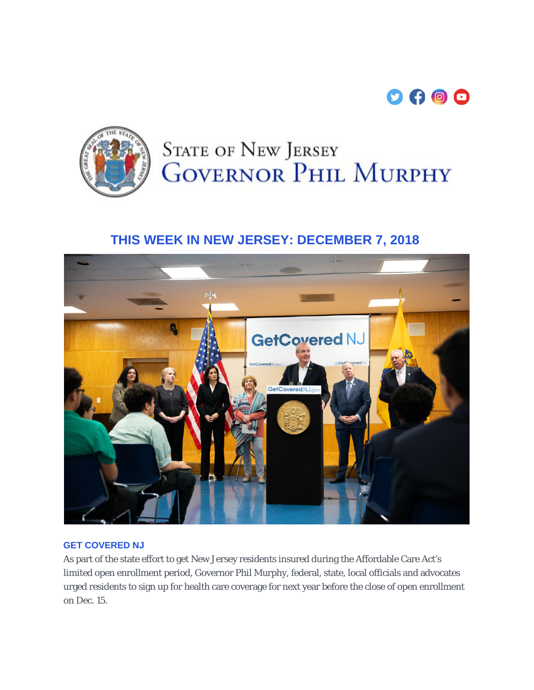



# **STATE OF NEW JERSEY GOVERNOR PHIL MURPHY**

## **THIS WEEK IN NEW JERSEY: DECEMBER 7, 2018**



#### **GET COVERED NJ**

As part of the state effort to get New Jersey residents insured during the Affordable Care Act's limited open enrollment period, Governor Phil Murphy, federal, state, local officials and advocates urged residents to sign up for health care coverage for next year before the close of open enrollment on Dec. 15.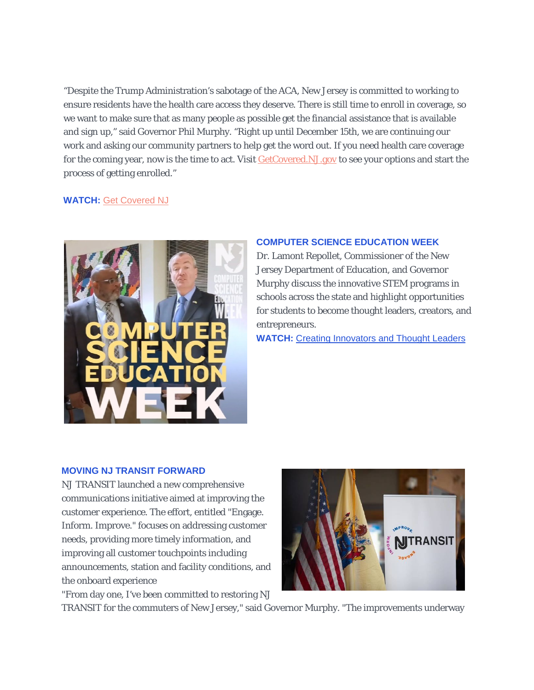"Despite the Trump Administration's sabotage of the ACA, New Jersey is committed to working to ensure residents have the health care access they deserve. There is still time to enroll in coverage, so we want to make sure that as many people as possible get the financial assistance that is available and sign up," said Governor Phil Murphy. "Right up until December 15th, we are continuing our work and asking our community partners to help get the word out. If you need health care coverage for the coming year, now is the time to act. Visit [GetCovered.NJ.gov](https://urldefense.proofpoint.com/v2/url?u=https-3A__t.e2ma.net_click_ftlm1_nrddit_7y4y9f&d=DwMFaQ&c=4BTEw-1msHjOY4ITcFLmDM6JB8x6ZgbU2J24IH0HZLU&r=xF3DPDNEH8rwpTwktOjb4MHQ0EgF6v3M0zt3hszQvyU&m=0Cj7yeYF2vRTYo6z2NraKB-AI8zREqnkpm0zWOB25IE&s=TGBleAe6d0hOvgw0ibYq2CVB_KrhrTT7e_dep6gs3-I&e=) to see your options and start the process of getting enrolled."

#### **WATCH:** [Get Covered NJ](https://urldefense.proofpoint.com/v2/url?u=https-3A__t.e2ma.net_click_ftlm1_nrddit_nr5y9f&d=DwMFaQ&c=4BTEw-1msHjOY4ITcFLmDM6JB8x6ZgbU2J24IH0HZLU&r=xF3DPDNEH8rwpTwktOjb4MHQ0EgF6v3M0zt3hszQvyU&m=0Cj7yeYF2vRTYo6z2NraKB-AI8zREqnkpm0zWOB25IE&s=8uiNKeRTwuzkcBz2zAIOOSCg9pbSh9bj-4SvVnqjt6k&e=)



#### **COMPUTER SCIENCE EDUCATION WEEK**

Dr. Lamont Repollet, Commissioner of the New Jersey Department of Education, and Governor Murphy discuss the innovative STEM programs in schools across the state and highlight opportunities for students to become thought leaders, creators, and entrepreneurs.

**WATCH:** [Creating Innovators and Thought Leaders](https://www.facebook.com/NJGov/videos/2343470609209998/?__tn__=kCH-R&eid=ARB1GCRDXWRFHFDi45bw-t3kjBNUoC2stvOgBaBMaGfYhxDxjPvH9yIZqcETVIvavrib2HXvzJbeLchv&hc_ref=ARQSYlDLXzdUKBbHmkuThN4ngFOtI_v3sN6YvndS422BaV3VUVdzOAjxU4lCOYzpdcE&fref=nf&__xts__%5b0%5d=68.ARCSWjATEn2_ZdFcrTF-ZWDIGnOQXI8j8vILi0DF58nr6hO-7E1tPOmXatkaWEQGz7rm_xG2-DEas7pWRIbWHXnpx8x3IlLgOLnnqz19juJq9ZDISq8z0no29DhmCAnClqMtDXtni7g2vrzkiEerV3Zq5p0oyMfV1MSGttchVaIo3QQD7Palz7s6KcbxaahV_xmsTANemYYimsU5BrUiacgq2gOEzPPKLKJgQYguTMqXULMlG0LBrrVI9t7uVKmNlKiXokeAYrKLb9zNOS4pVUwUXaNFRc6nrVQuVlY-MgyxZE873ywWuMxZLN90EuUkSXpghcvjdKFPoRCJA8aTm6fpJMI9M-co7_3wGlYq5E0oAtLgSom-s5UzlYg4C7wN1k1_UQ_RmS9_h9_K17EHX6qalmNsu1zoe7pkshubBFnnN7uL8pvxkR2JBjrMvkRI8HBRlgPH_8wMk1pwmn3Z2HP60U_x2OJt4hW0nVUsIuXTiK_85yagwZhhakfY7Asg_DK2lTB-JA)

#### **MOVING NJ TRANSIT FORWARD**

NJ TRANSIT launched a new comprehensive communications initiative aimed at improving the customer experience. The effort, entitled "Engage. Inform. Improve." focuses on addressing customer needs, providing more timely information, and improving all customer touchpoints including announcements, station and facility conditions, and the onboard experience

"From day one, I've been committed to restoring NJ



TRANSIT for the commuters of New Jersey," said Governor Murphy. "The improvements underway